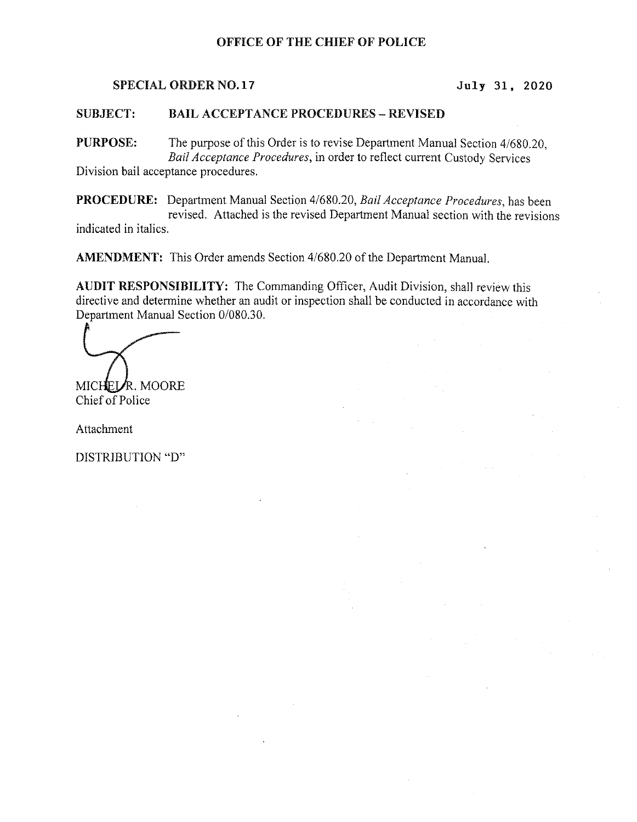# OFFICE OF THE CHIEF OF POLICE

### SPECIAL ORDER NO.17 July 31, 2020

#### **SUBJECT: BAIL ACCEPTANCE PROCEDURES - REVISED**

PURPOSE: The purpose of this Order is to revise Department Manual Section 4/680.20, Bail Acceptance Procedures, in order to reflect current Custody Services Division bail acceptance procedures.

PROCEDURE: Department Manual Section 4/680.20, Bail Acceptance Procedures, has been revised. Attached is the revised Department Manual section with the revisions indicated in italics.

AMENDMENT: This Order amends Section 4/680.20 of the Department Manual.

AUDIT RESPONSIBILITY: The Commanding Officer, Audit Division, shall review this directive and determine whether an audit or inspection shall be conducted in accordance with Department Manual Section 0/080.30.

MICHELAR. MOORE Chief of Police

Attachment

DISTRIBUTION "D"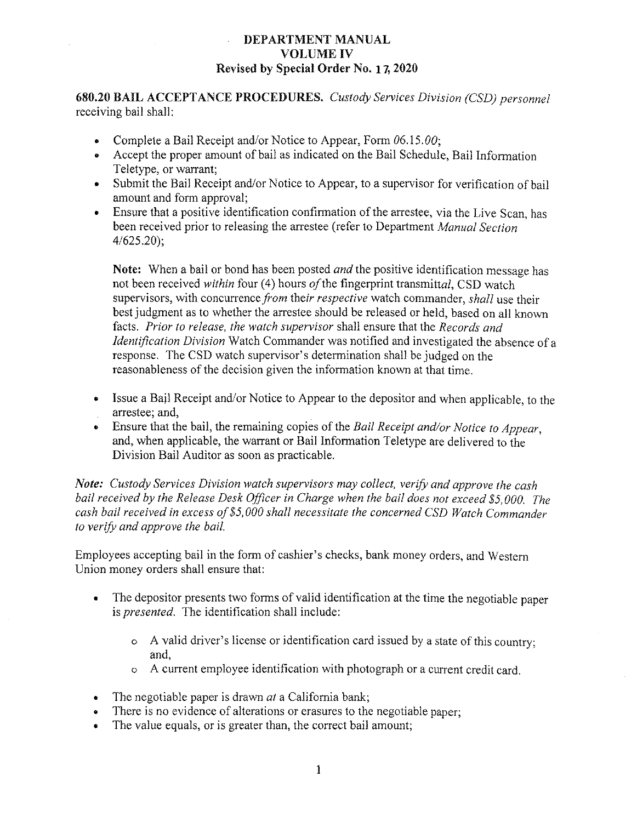# DEPARTMENT MANUAL VQLUME IV Revised by Special Order No. 17:2020

680.20 BAIL ACCEPTANCE PROCEDURES. Custody Services Division (CSD) personnel receiving bail shall:

- Complete a Bail Receipt and/or Notice to Appear, Form  $06.15.00$ ;
- Accept the proper amount of bail as indicated on the Bail Schedule, Bail Information Teletype, or warrant;
- Submit the Bail Receipt and/or Notice to Appear, to a supervisor for verification of bail amount and form approval;
- Ensure that a positive identification confirmation of the arrestee, via the Live Scan, has been received prior to releasing the arrestee (refer to Department Manual Section 4/625.20};

Note: When a bail or bond has been posted *and* the positive identification message has not been received within four (4) hours of the fingerprint transmittal, CSD watch supervisors, with concurrence from their respective watch commander, shall use their best judgment as to whether the anestee should be released or held, based on all known facts. Prior to release, the watch supervisor shall ensure that the Records and Identification Division Watch Commander was notified and investigated the absence of a response. The CSD watch supervisor's determination shall be judged on the reasonableness of the decision given the information known at that time.

- Issue a Bail Receipt and/or Notice to Appear to the depositor and when applicable, to the arrestee; and,
- Ensure that the bail, the remaining copies of the Bail Receipt and/or Notice to Appear. and, when applicable, the warrant or Bail Information Teletype are delivered to the Division Bail Auditor as soon as practicable.

Note: Custody Services Division watch supervisors may collect, verify and approve the cash bail received by the Release Desk Officer in Charge when the bail does not exceed \$5,000. The cash bail received in excess of \$5,000 shall necessitate the concerned CSD Watch Commander to verify and approve the bail.

Employees accepting bail in the form of cashier's checks, bank money orders, and Western Union money orders shall ensure that:

- The depositor presents two forms of valid identification at the time the negotiable paper  $\bullet$ is presented. The identification shall include:
	- o A valid driver's license or identification card issued by a state of this country; and,
	- o A current employee identification with photograph or a current credit card.
- $\bullet$  The negotiable paper is drawn *at* a California bank;
- There is no evidence of alterations or erasures to the negotiable paper;
- The value equals, or is greater than, the correct bail amount;